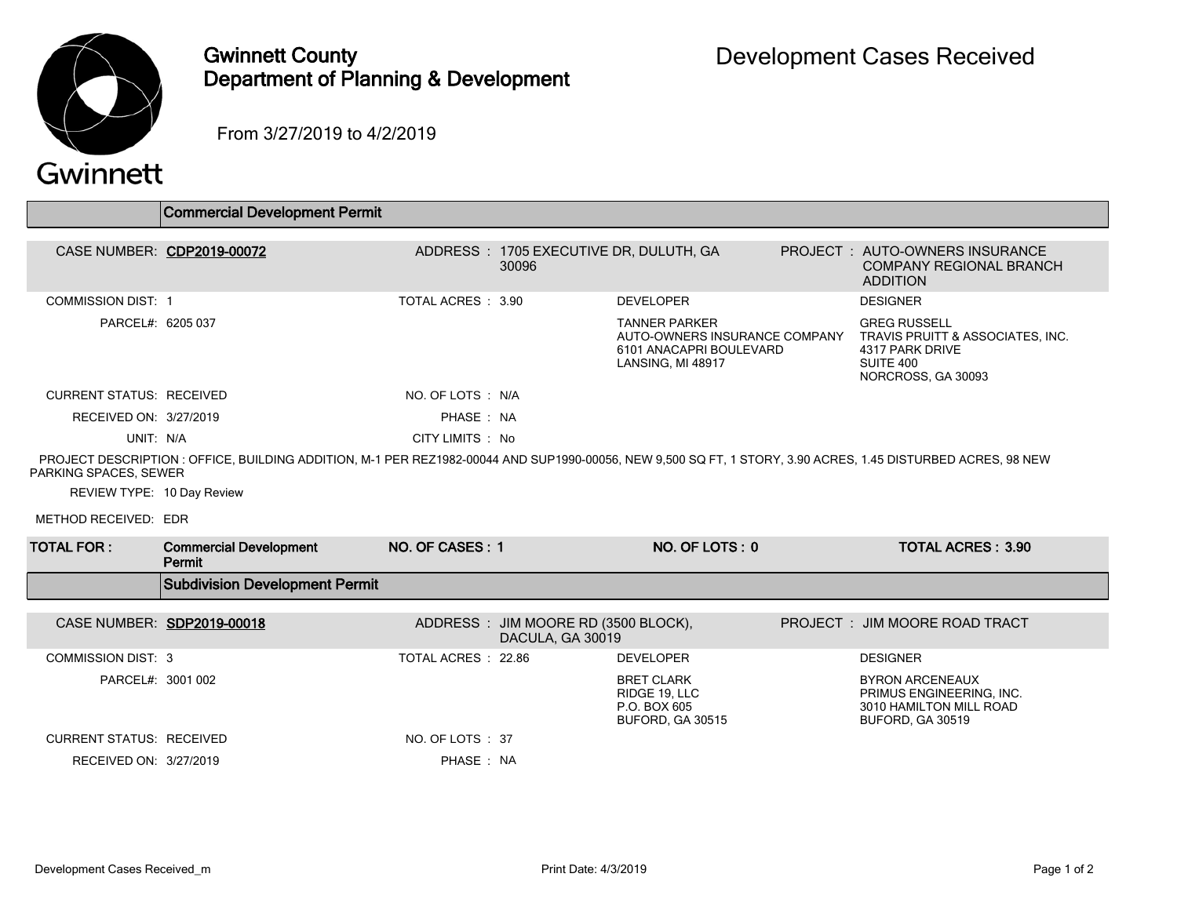

## Gwinnett County Department of Planning & Development

From 3/27/2019 to 4/2/2019

|                                 | <b>Commercial Development Permit</b>                                                                                                                         |                     |                                                         |                                                                        |  |                                                                                                                                              |  |  |
|---------------------------------|--------------------------------------------------------------------------------------------------------------------------------------------------------------|---------------------|---------------------------------------------------------|------------------------------------------------------------------------|--|----------------------------------------------------------------------------------------------------------------------------------------------|--|--|
| CASE NUMBER: CDP2019-00072      |                                                                                                                                                              |                     | ADDRESS: 1705 EXECUTIVE DR, DULUTH, GA<br>30096         |                                                                        |  | PROJECT: AUTO-OWNERS INSURANCE<br><b>COMPANY REGIONAL BRANCH</b><br><b>ADDITION</b>                                                          |  |  |
| <b>COMMISSION DIST: 1</b>       |                                                                                                                                                              | TOTAL ACRES : 3.90  |                                                         | <b>DEVELOPER</b>                                                       |  | <b>DESIGNER</b>                                                                                                                              |  |  |
| PARCEL#: 6205 037               |                                                                                                                                                              |                     |                                                         | <b>TANNER PARKER</b><br>6101 ANACAPRI BOULEVARD<br>LANSING, MI 48917   |  | <b>GREG RUSSELL</b><br>AUTO-OWNERS INSURANCE COMPANY  TRAVIS PRUITT & ASSOCIATES, INC.<br>4317 PARK DRIVE<br>SUITE 400<br>NORCROSS, GA 30093 |  |  |
| <b>CURRENT STATUS: RECEIVED</b> |                                                                                                                                                              | NO. OF LOTS : N/A   |                                                         |                                                                        |  |                                                                                                                                              |  |  |
| RECEIVED ON: 3/27/2019          |                                                                                                                                                              | PHASE: NA           |                                                         |                                                                        |  |                                                                                                                                              |  |  |
| UNIT: N/A                       |                                                                                                                                                              | CITY LIMITS : No    |                                                         |                                                                        |  |                                                                                                                                              |  |  |
| PARKING SPACES, SEWER           | PROJECT DESCRIPTION : OFFICE, BUILDING ADDITION, M-1 PER REZ1982-00044 AND SUP1990-00056, NEW 9,500 SQ FT, 1 STORY, 3.90 ACRES, 1.45 DISTURBED ACRES, 98 NEW |                     |                                                         |                                                                        |  |                                                                                                                                              |  |  |
| REVIEW TYPE: 10 Day Review      |                                                                                                                                                              |                     |                                                         |                                                                        |  |                                                                                                                                              |  |  |
| METHOD RECEIVED: EDR            |                                                                                                                                                              |                     |                                                         |                                                                        |  |                                                                                                                                              |  |  |
| <b>TOTAL FOR :</b>              | <b>Commercial Development</b><br>Permit                                                                                                                      | NO. OF CASES: 1     |                                                         | NO. OF LOTS: 0                                                         |  | <b>TOTAL ACRES: 3.90</b>                                                                                                                     |  |  |
|                                 | <b>Subdivision Development Permit</b>                                                                                                                        |                     |                                                         |                                                                        |  |                                                                                                                                              |  |  |
|                                 | CASE NUMBER: SDP2019-00018                                                                                                                                   |                     | ADDRESS: JIM MOORE RD (3500 BLOCK),<br>DACULA, GA 30019 |                                                                        |  | PROJECT : JIM MOORE ROAD TRACT                                                                                                               |  |  |
| <b>COMMISSION DIST: 3</b>       |                                                                                                                                                              | TOTAL ACRES : 22.86 |                                                         | <b>DEVELOPER</b>                                                       |  | <b>DESIGNER</b>                                                                                                                              |  |  |
| PARCEL#: 3001 002               |                                                                                                                                                              |                     |                                                         | <b>BRET CLARK</b><br>RIDGE 19, LLC<br>P.O. BOX 605<br>BUFORD, GA 30515 |  | <b>BYRON ARCENEAUX</b><br>PRIMUS ENGINEERING, INC.<br>3010 HAMILTON MILL ROAD<br>BUFORD, GA 30519                                            |  |  |
| <b>CURRENT STATUS: RECEIVED</b> |                                                                                                                                                              | NO. OF LOTS: 37     |                                                         |                                                                        |  |                                                                                                                                              |  |  |
| RECEIVED ON: 3/27/2019          |                                                                                                                                                              | PHASE: NA           |                                                         |                                                                        |  |                                                                                                                                              |  |  |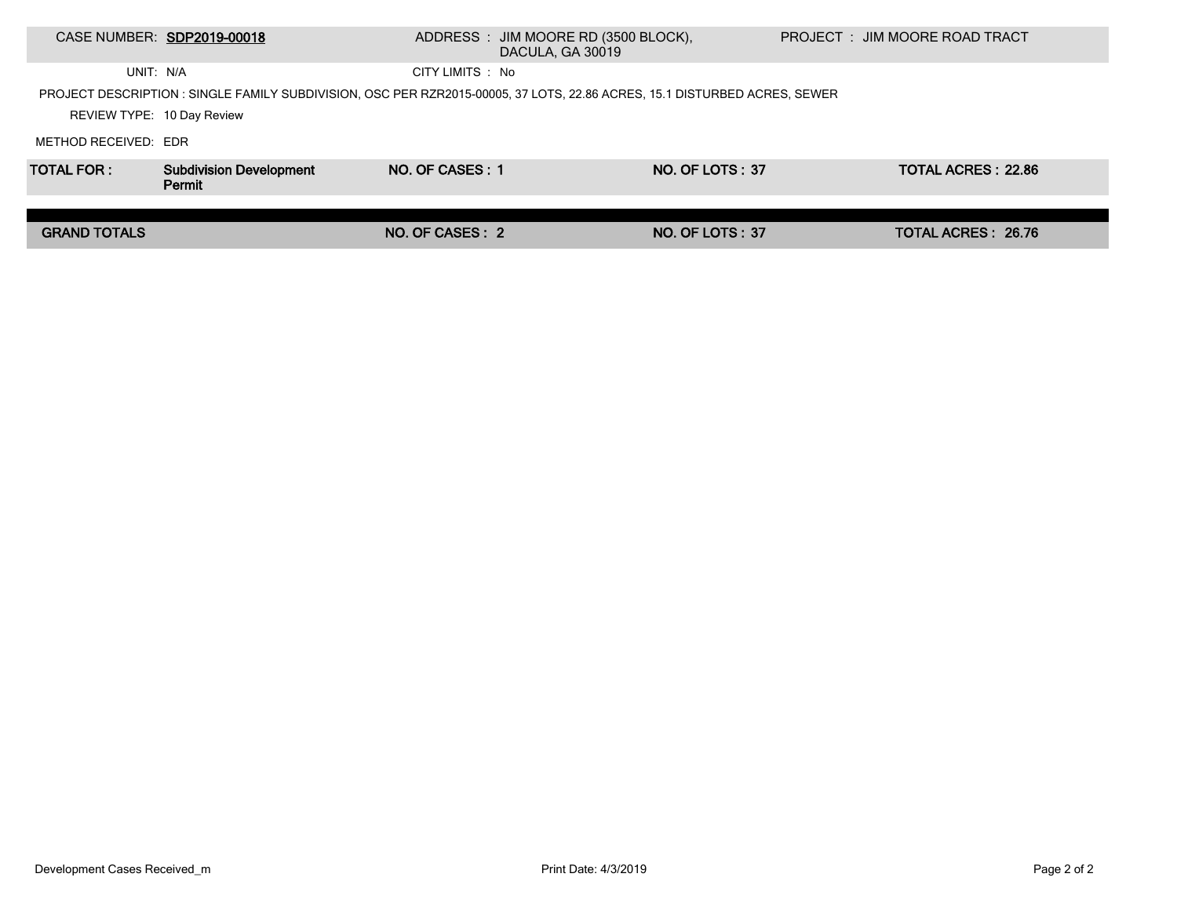|                                                                                                                          | CASE NUMBER: SDP2019-00018               |                  | ADDRESS : JIM MOORE RD (3500 BLOCK),<br>DACULA, GA 30019 |                        |  | PROJECT : JIM MOORE ROAD TRACT |  |  |
|--------------------------------------------------------------------------------------------------------------------------|------------------------------------------|------------------|----------------------------------------------------------|------------------------|--|--------------------------------|--|--|
| UNIT: N/A                                                                                                                |                                          | CITY LIMITS : No |                                                          |                        |  |                                |  |  |
| PROJECT DESCRIPTION: SINGLE FAMILY SUBDIVISION, OSC PER RZR2015-00005, 37 LOTS, 22.86 ACRES, 15.1 DISTURBED ACRES, SEWER |                                          |                  |                                                          |                        |  |                                |  |  |
| REVIEW TYPE: 10 Day Review                                                                                               |                                          |                  |                                                          |                        |  |                                |  |  |
| METHOD RECEIVED: EDR                                                                                                     |                                          |                  |                                                          |                        |  |                                |  |  |
| <b>TOTAL FOR:</b>                                                                                                        | <b>Subdivision Development</b><br>Permit | NO. OF CASES: 1  |                                                          | NO. OF LOTS: 37        |  | <b>TOTAL ACRES: 22.86</b>      |  |  |
|                                                                                                                          |                                          |                  |                                                          |                        |  |                                |  |  |
| <b>GRAND TOTALS</b>                                                                                                      |                                          | NO. OF CASES : 2 |                                                          | <b>NO. OF LOTS: 37</b> |  | TOTAL ACRES: 26.76             |  |  |